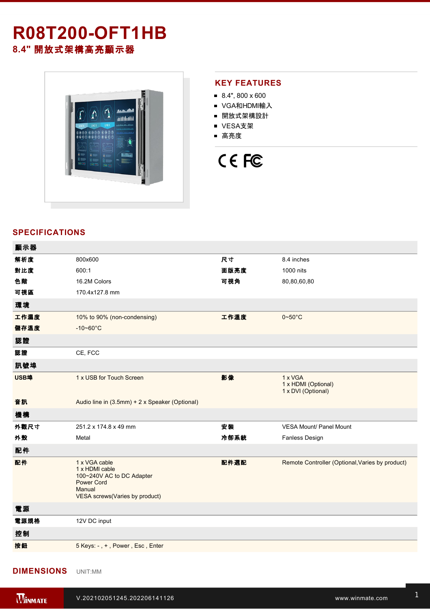## **R08T200-OFT1HB 8.4"** 開放式架構高亮顯示器



### **KEY FEATURES**

- $8.4$ ", 800 x 600
- VGA和HDMI輸入
- 開放式架構設計
- VESA支架
- 高亮度

# CE FC

### **SPECIFICATIONS**

| 顯示器  |                                                                                                                               |      |                                                      |
|------|-------------------------------------------------------------------------------------------------------------------------------|------|------------------------------------------------------|
| 解析度  | 800x600                                                                                                                       | 尺寸   | 8.4 inches                                           |
| 對比度  | 600:1                                                                                                                         | 面版亮度 | 1000 nits                                            |
| 色階   | 16.2M Colors                                                                                                                  | 可視角  | 80,80,60,80                                          |
| 可視區  | 170.4x127.8 mm                                                                                                                |      |                                                      |
| 環境   |                                                                                                                               |      |                                                      |
| 工作濕度 | 10% to 90% (non-condensing)                                                                                                   | 工作溫度 | $0 - 50$ °C                                          |
| 儲存溫度 | $-10 - 60^{\circ}C$                                                                                                           |      |                                                      |
| 認證   |                                                                                                                               |      |                                                      |
| 認證   | CE, FCC                                                                                                                       |      |                                                      |
| 訊號埠  |                                                                                                                               |      |                                                      |
| USB埠 | 1 x USB for Touch Screen                                                                                                      | 影像   | 1 x VGA<br>1 x HDMI (Optional)<br>1 x DVI (Optional) |
| 音訊   | Audio line in (3.5mm) + 2 x Speaker (Optional)                                                                                |      |                                                      |
| 機構   |                                                                                                                               |      |                                                      |
| 外觀尺寸 | 251.2 x 174.8 x 49 mm                                                                                                         | 安装   | VESA Mount/ Panel Mount                              |
| 外殼   | Metal                                                                                                                         | 冷卻系統 | Fanless Design                                       |
| 配件   |                                                                                                                               |      |                                                      |
| 配件   | 1 x VGA cable<br>1 x HDMI cable<br>100~240V AC to DC Adapter<br><b>Power Cord</b><br>Manual<br>VESA screws(Varies by product) | 配件選配 | Remote Controller (Optional, Varies by product)      |
| 電源   |                                                                                                                               |      |                                                      |
| 電源規格 | 12V DC input                                                                                                                  |      |                                                      |
| 控制   |                                                                                                                               |      |                                                      |
| 按鈕   | 5 Keys: -, +, Power, Esc, Enter                                                                                               |      |                                                      |
|      |                                                                                                                               |      |                                                      |

### **DIMENSIONS**  UNIT:MM